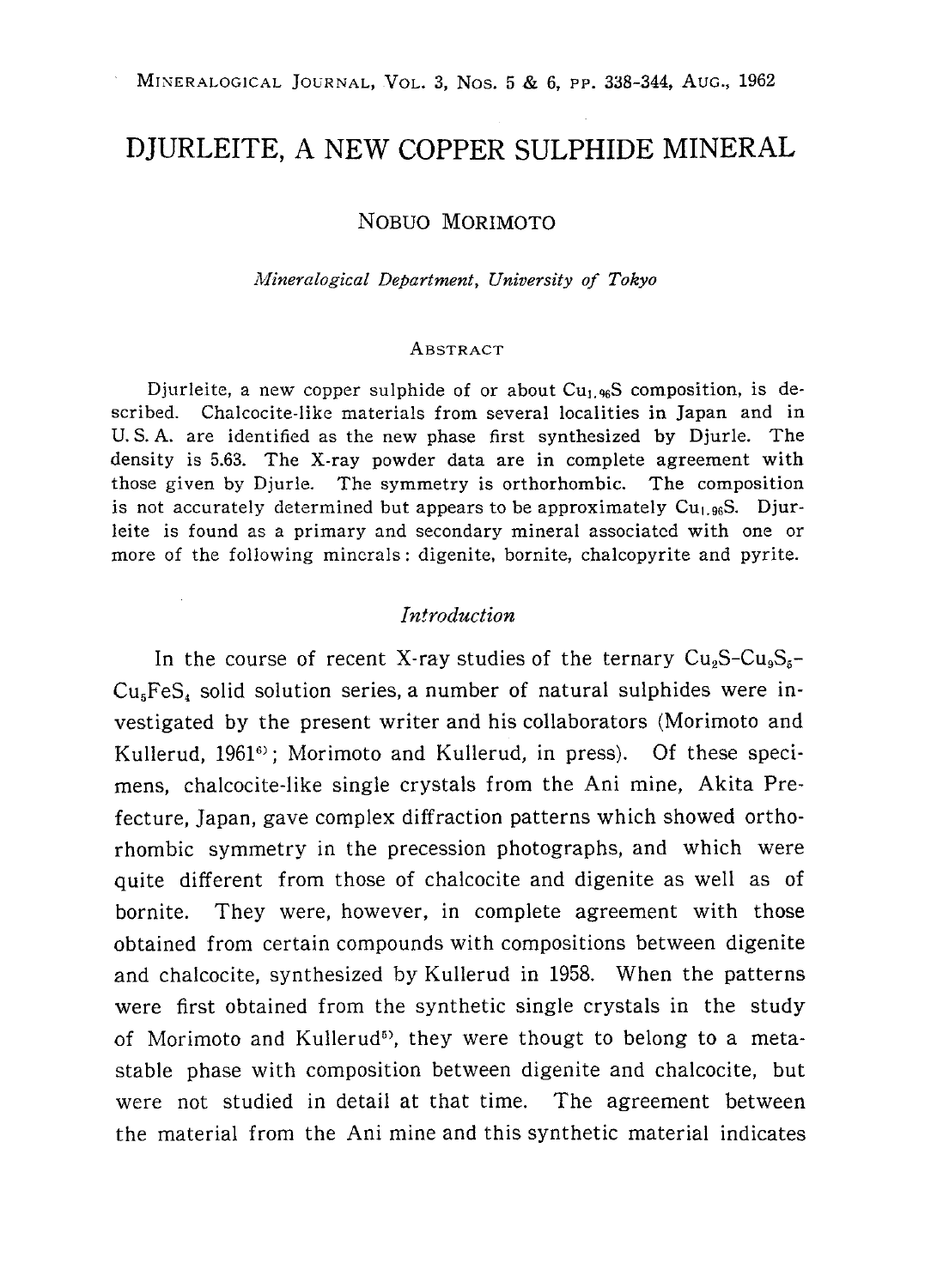# DJURLEITE, A NEW COPPER SULPHIDE MINERAL

NOBUO MORIMOTO

Mineralogical Department, University of Tokyo

#### ABSTRACT

Djurleite, a new copper sulphide of or about  $Cu<sub>1.96</sub>S$  composition, is described. Chalcocite-like materials from several localities in Japan and in U. S. A. are identified as the new phase first synthesized by Djurle. The density is 5.63. The X-ray powder data are in complete agreement with those given by Djurle. The symmetry is orthorhombic. The composition is not accurately determined but appears to be approximately  $Cu<sub>1.96</sub>S$ . Djurleite is found as a primary and secondary mineral associated with one or more of the following minerals: digenite, bornite, chalcopyrite and pyrite.

#### Introduction

In the course of recent X-ray studies of the ternary  $Cu<sub>9</sub>S-Cu<sub>9</sub>S<sub>5</sub>$  $Cu<sub>5</sub>FeS<sub>4</sub>$  solid solution series, a number of natural sulphides were investigated by the present writer and his collaborators (Morimoto and Kullerud, 1961<sup>6</sup>); Morimoto and Kullerud, in press). Of these specimens, chalcocite-like single crystals from the Ani mine, Akita Pre fecture, Japan, gave complex diffraction patterns which showed ortho rhombic symmetry in the precession photographs, and which were quite different from those of chalcocite and digenite as well as of bornite. They were, however, in complete agreement with those obtained from certain compounds with compositions between digenite and chalcocite, synthesized by Kullerud in 1958. When the patterns were first obtained from the synthetic single crystals in the study of Morimoto and Kullerud<sup>5</sup>, they were thougt to belong to a metastable phase with composition between digenite and chalcocite, but were not studied in detail at that time. The agreement between the material from the Ani mine and this synthetic material indicates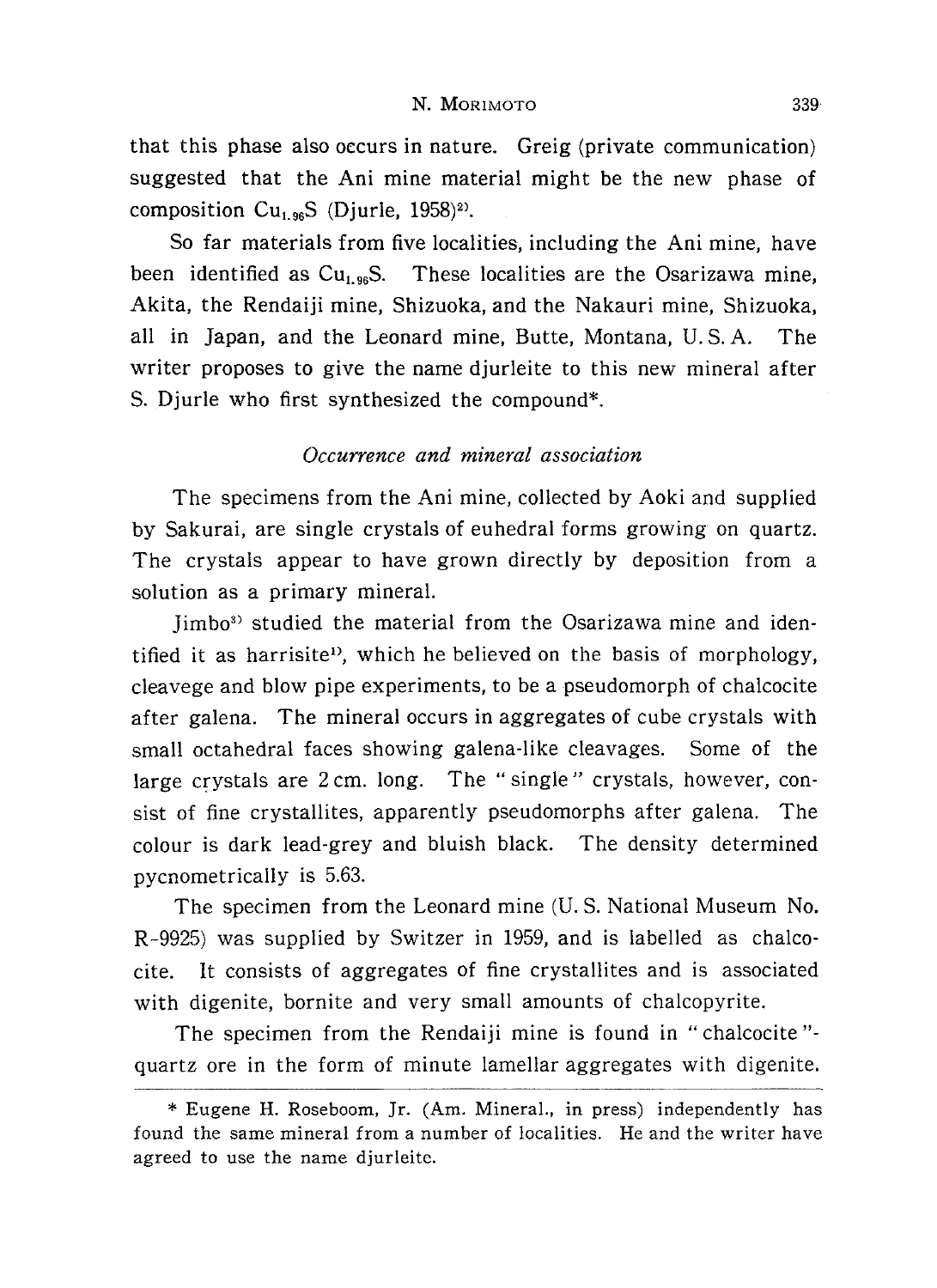that this phase also occurs in nature. Greig (private communication) suggested that the Ani mine material might be the new phase of composition  $Cu_{1.96}S$  (Djurle, 1958)<sup>2)</sup>.

So far materials from five localities, including the Ani mine, have been identified as  $Cu<sub>1.96</sub>S$ . These localities are the Osarizawa mine, Akita, the Rendaiji mine, Shizuoka, and the Nakauri mine, Shizuoka, all in Japan, and the Leonard mine, Butte, Montana, U. S. A. The writer proposes to give the name djurleite to this new mineral after S. Djurle who first synthesized the compound\*.

## Occurrence and mineral association

The specimens from the Ani mine, collected by Aoki and supplied by Sakurai, are single crystals of euhedral forms growing on quartz. The crystals appear to have grown directly by deposition from a solution as a primary mineral.

limbo<sup>3)</sup> studied the material from the Osarizawa mine and identified it as harrisite<sup>1</sup>, which he believed on the basis of morphology, cleavege and blow pipe experiments, to be a pseudomorph of chalcocite after galena. The mineral occurs in aggregates of cube crystals with small octahedral faces showing galena-like cleavages. Some of the large crystals are 2cm. long. The "single" crystals, however, con sist of fine crystallites, apparently pseudomorphs after galena. The colour is dark lead-grey and bluish black. The density determined pycnometrically is 5.63.

The specimen from the Leonard mine (U. S. National Museum No. R-9925) was supplied by Switzer in 1959, and is labelled as chalco cite. It consists of aggregates of fine crystallites and is associated with digenite, bornite and very small amounts of chalcopyrite.

The specimen from the Rendaiji mine is found in "chalcocite"quartz ore in the form of minute lamellar aggregates with digenite.

<sup>\*</sup> Eugene H. Roseboom, Jr. (Am. Mineral., in press) independently has found the same mineral from a number of localities. He and the writer have agreed to use the name djurleite.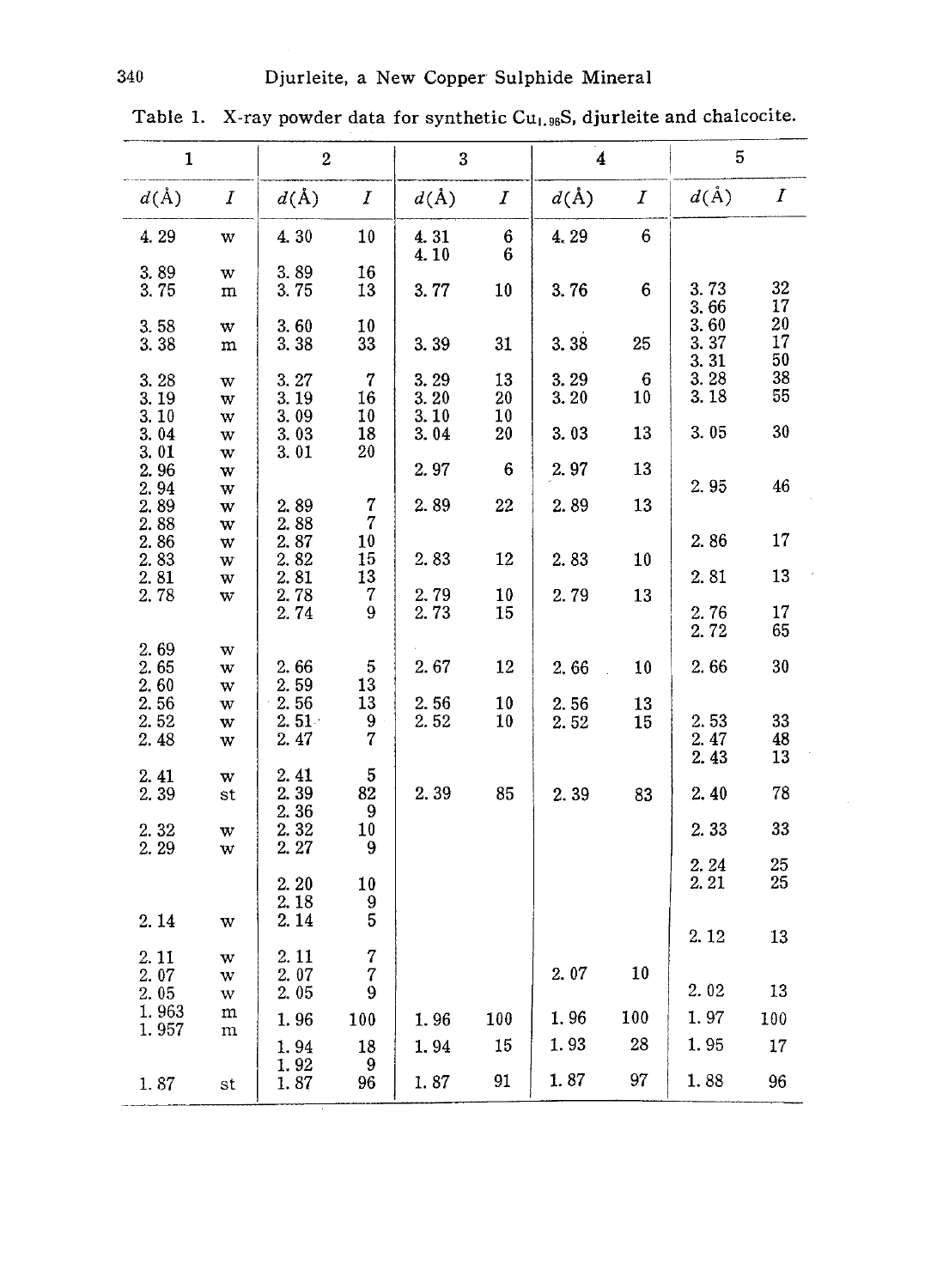| $\mathbf{1}$         |                  | $\boldsymbol{2}$         |                            | 3                    |                  | 4               |                  | 5                    |                  |
|----------------------|------------------|--------------------------|----------------------------|----------------------|------------------|-----------------|------------------|----------------------|------------------|
| $d(\AA)$             | $\boldsymbol{I}$ | $d(\text{\AA})$          | $\boldsymbol{I}$           | $d(\AA)$             | $\boldsymbol{I}$ | $d(\text{\AA})$ | $\boldsymbol{I}$ | $d(\AA)$             | $\boldsymbol{I}$ |
| 4.29                 | W                | 4.30                     | 10                         | 4.31<br>4.10         | $\bf 6$<br>6     | 4,29            | $\boldsymbol{6}$ |                      |                  |
| 3.89<br>3.75         | w<br>m           | 3.89<br>3.75             | 16<br>13                   | 3.77                 | 10               | 3.76            | 6                | 3.73<br>3.66         | 32<br>17         |
| 3.58<br>3.38         | w<br>m           | 3.60<br>3.38             | 10<br>33                   | 3.39                 | 31               | 3.38            | 25               | 3.60<br>3.37<br>3.31 | 20<br>17<br>50   |
| 3.28<br>3.19<br>3.10 | W<br>w<br>W      | 3.27<br>3.19<br>3.09     | $\overline{7}$<br>16<br>10 | 3.29<br>3.20<br>3.10 | 13<br>20<br>10   | 3.29<br>3.20    | 6<br>10          | 3.28<br>3.18         | 38<br>55         |
| 3.04<br>3.01         | W<br>W           | 3.03<br>3.01             | 18<br>20                   | 3.04                 | 20               | 3.03            | 13               | 3.05                 | 30               |
| 2.96<br>2.94         | W<br>W           |                          |                            | 2.97                 | 6                | 2.97            | 13               | 2.95                 | 46               |
| 2.89<br>2.88         | W<br>W           | 2.89<br>2.88             | 7<br>$\overline{7}$        | 2.89                 | 22               | 2.89            | 13               |                      |                  |
| 2.86<br>2.83         | W<br>W           | 2.87<br>2.82             | 10<br>15                   | 2.83                 | 12               | 2.83            | 10               | 2.86                 | 17               |
| 2.81<br>2.78         | W<br>W           | 2.81<br>2.78             | 13<br>7                    | 2.79                 | 10               | 2.79            | 13               | 2.81                 | 13               |
|                      |                  | 2.74                     | 9                          | 2.73                 | 15               |                 |                  | 2.76<br>2.72         | 17<br>65         |
| 2.69<br>2.65<br>2.60 | w<br>W<br>W      | 2.66<br>2.59             | 5<br>13                    | 2.67                 | 12               | 2.66            | 10               | 2.66                 | 30               |
| 2.56<br>2.52<br>2.48 | w<br>W<br>W      | 2.56<br>$2.51 -$<br>2.47 | 13<br>9<br>$\overline{7}$  | 2.56<br>2.52         | 10<br>10         | 2.56<br>2.52    | 13<br>15         | 2.53<br>2.47<br>2.43 | 33<br>48<br>13   |
| 2.41<br>2.39         | W<br>st          | 2.41<br>2.39             | 5<br>82                    | 2.39                 | 85               | 2.39            | 83               | 2.40                 | 78               |
| 2.32<br>2.29         | W<br>w           | 2.36<br>2.32<br>2.27     | 9<br>10<br>9               |                      |                  |                 |                  | 2.33                 | 33               |
| 2.14                 |                  | 2.20<br>2.18<br>2.14     | 10<br>9<br>5               |                      |                  |                 |                  | 2.24<br>2.21         | 25<br>25         |
| 2.11                 | W                | 2.11                     | 7                          |                      |                  |                 |                  | 2.12                 | 13               |
| 2.07<br>2.05         | W<br>W<br>W      | 2.07<br>2.05             | 7<br>9                     |                      |                  | 2.07            | 10               | 2.02                 | 13               |
| 1.963<br>1.957       | m<br>m           | 1.96                     | 100                        | 1.96                 | 100              | 1.96            | 100              | 1.97                 | 100              |
|                      |                  | 1.94<br>1.92             | 18<br>9                    | 1.94                 | 15               | 1.93            | 28               | 1.95                 | 17               |
| 1.87                 | st               | 1.87                     | 96                         | 1.87                 | 91               | 1.87            | 97               | 1.88                 | 96               |

Table 1. X-ray powder data for synthetic  $Cu_{1.96}S$ , djurleite and chalcocite.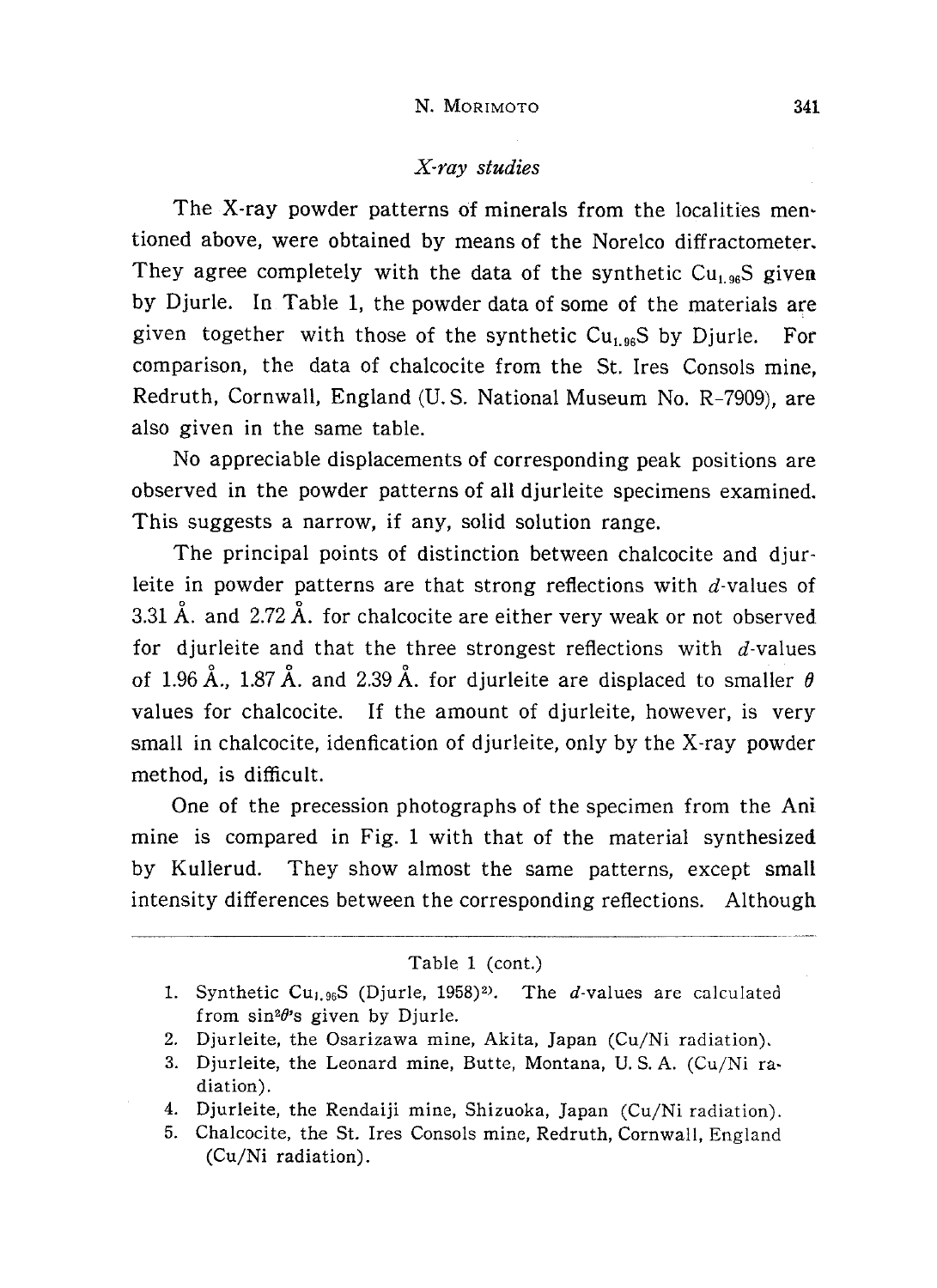# X-ray studies

The X-ray powder patterns of minerals from the localities men tioned above, were obtained by means of the Norelco diffractometer. They agree completely with the data of the synthetic  $Cu<sub>1.96</sub>S$  given by Djurle. In Table 1, the powder data of some of the materials are given together with those of the synthetic  $Cu<sub>1.96</sub>S$  by Djurle. For comparison, the data of chalcocite from the St. Ires Consols mine, Redruth, Cornwall, England (U. S. National Museum No. R-7909), are also given in the same table.

No appreciable displacements of corresponding peak positions are observed in the powder patterns of all djurleite specimens examined. This suggests a narrow, if any, solid solution range.

The principal points of distinction between chalcocite and djurleite in powder patterns are that strong reflections with  $d$ -values of 3.31 Å. and 2.72 Å. for chalcocite are either very weak or not observed for diurleite and that the three strongest reflections with  $d$ -values of 1.96 Å., 1.87 Å. and 2.39 Å. for djurleite are displaced to smaller  $\theta$ values for chalcocite. If the amount of djurleite, however, is very small in chalcocite, idenfication of djurleite, only by the X-ray powder method, is difficult.

One of the precession photographs of the specimen from the Ani mine is compared in Fig. 1 with that of the material synthesized by Kullerud. They show almost the same patterns, except small intensity differences between the corresponding reflections. Although

#### Table 1 (cont.)

- 1. Synthetic Cu<sub>1.96</sub>S (Djurle, 1958)<sup>2)</sup>. The *d*-values are calculated from  $sin^2\theta$ 's given by Djurle.
- 2. Djurleite, the Osarizawa mine, Akita, Japan (Cu/Ni radiation).
- 3. Djurleite, the Leonard mine, Butte, Montana, U. S. A. (Cu/Ni ra diation).
- 4. Djurleite, the Rendaiji mine, Shizuoka, Japan (Cu/Ni radiation).
- 5. Chalcocite, the St. Ires Consols mine, Redruth, Cornwall, England (Cu/Ni radiation).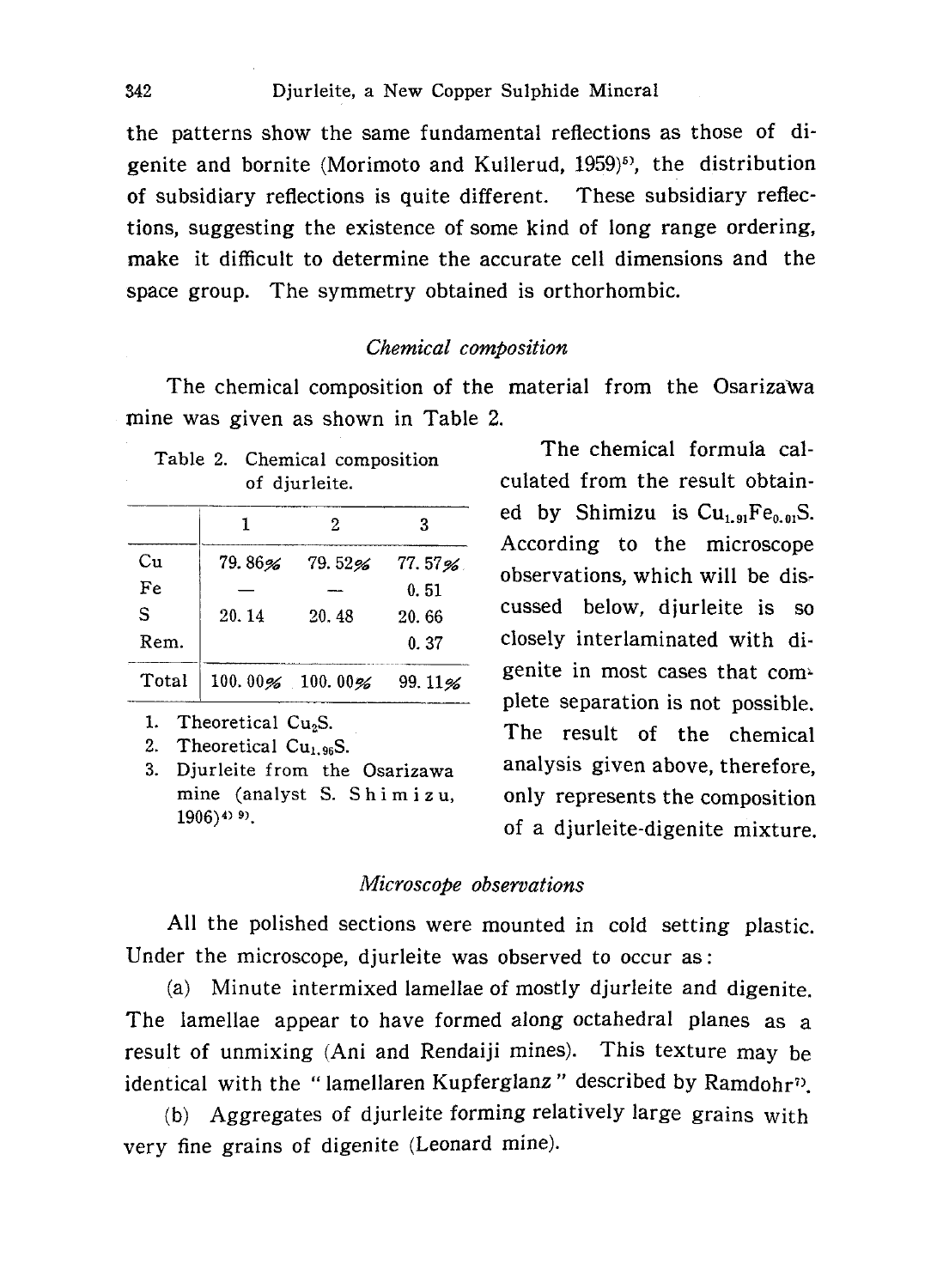the patterns show the same fundamental reflections as those of di genite and bornite (Morimoto and Kullerud, 1959)<sup>5)</sup>, the distribution of subsidiary reflections is quite different. These subsidiary reflec tions, suggesting the existence of some kind of long range ordering, make it difficult to determine the accurate cell dimensions and the space group. The symmetry obtained is orthorhombic.

#### Chemical composition

The chemical composition of the material from the Osarizawa mine was given as shown in Table 2.

| Table 2. Chemical composition |
|-------------------------------|
| of djurleite.                 |

|       |       | 2               | З      |
|-------|-------|-----------------|--------|
| Сu    |       | 79.86% 79.52%   | 77.57% |
| Fe    |       |                 | 0.51   |
| S     | 20.14 | 20.48           | 20.66  |
| Rem.  |       |                 | 0.37   |
| Total |       | 100.00% 100.00% | 99.11% |

1. Theoretical  $Cu<sub>2</sub>Si$ .

2. Theoretical  $Cu<sub>1.96</sub>S$ .

3. Djurleite from the Osarizawa mine (analyst S. Shimizu,  $1906$ )<sup>4) 9)</sup>.

The chemical formula cal culated from the result obtain ed by Shimizu is  $Cu_{1.91}Fe_{0.01}S$ . According to the microscope observations, which will be dis cussed below, djurleite is so closely interlaminated with di genite in most cases that complete separation is not possible. The result of the chemical analysis given above, therefore, only represents the composition of a djurleite-digenite mixture.

#### Microscope observations

All the polished sections were mounted in cold setting plastic. Under the microscope, djurleite was observed to occur as:

(a) Minute intermixed lamellae of mostly djurleite and digenite. The lamellae appear to have formed along octahedral planes as a result of unmixing (Ani and Rendaiji mines). This texture may be identical with the "lamellaren Kupferglanz" described by  $Randomr$ ?

(b) Aggregates of djurleite forming relatively large grains with very fine grains of digenite (Leonard mine).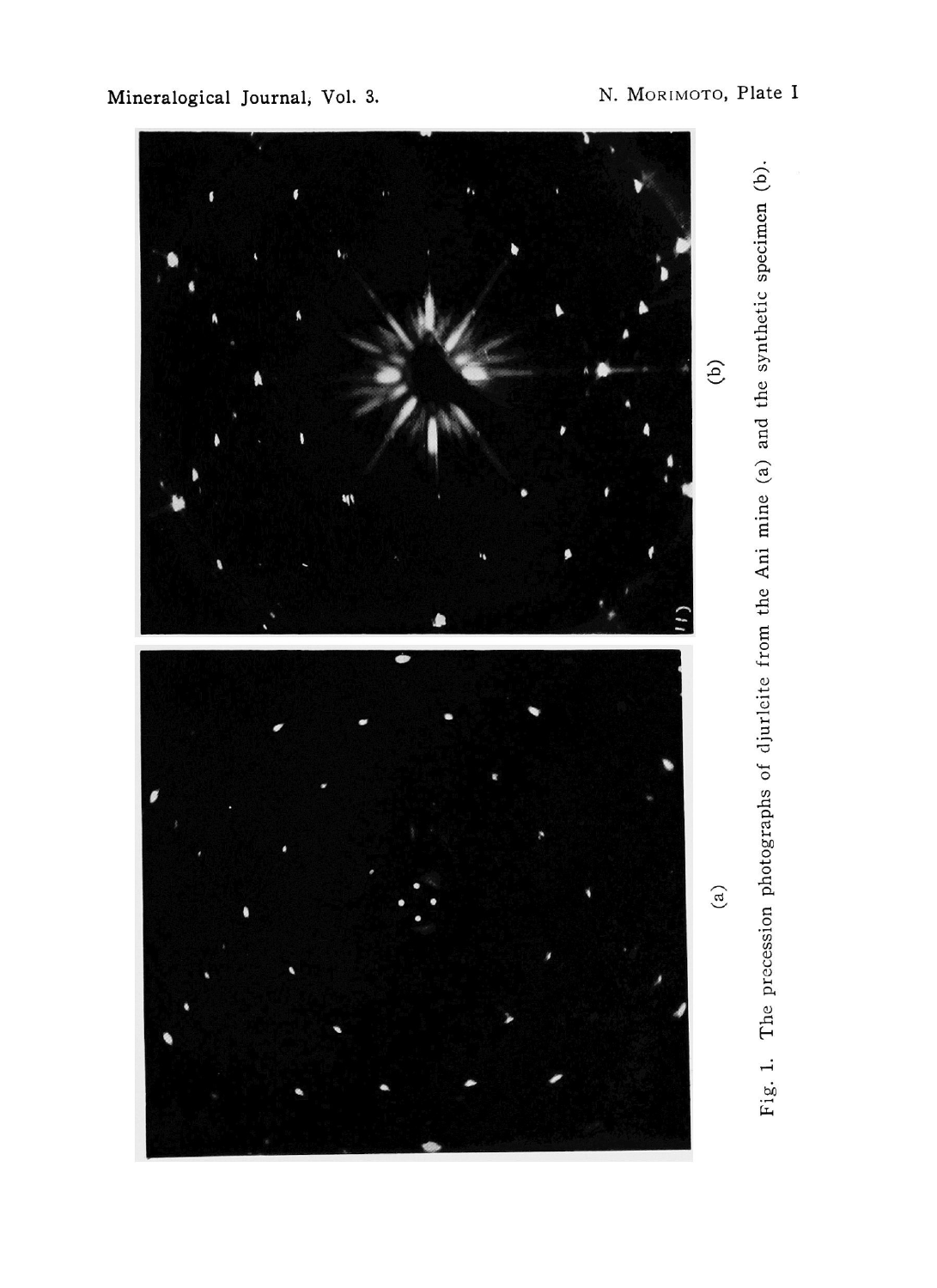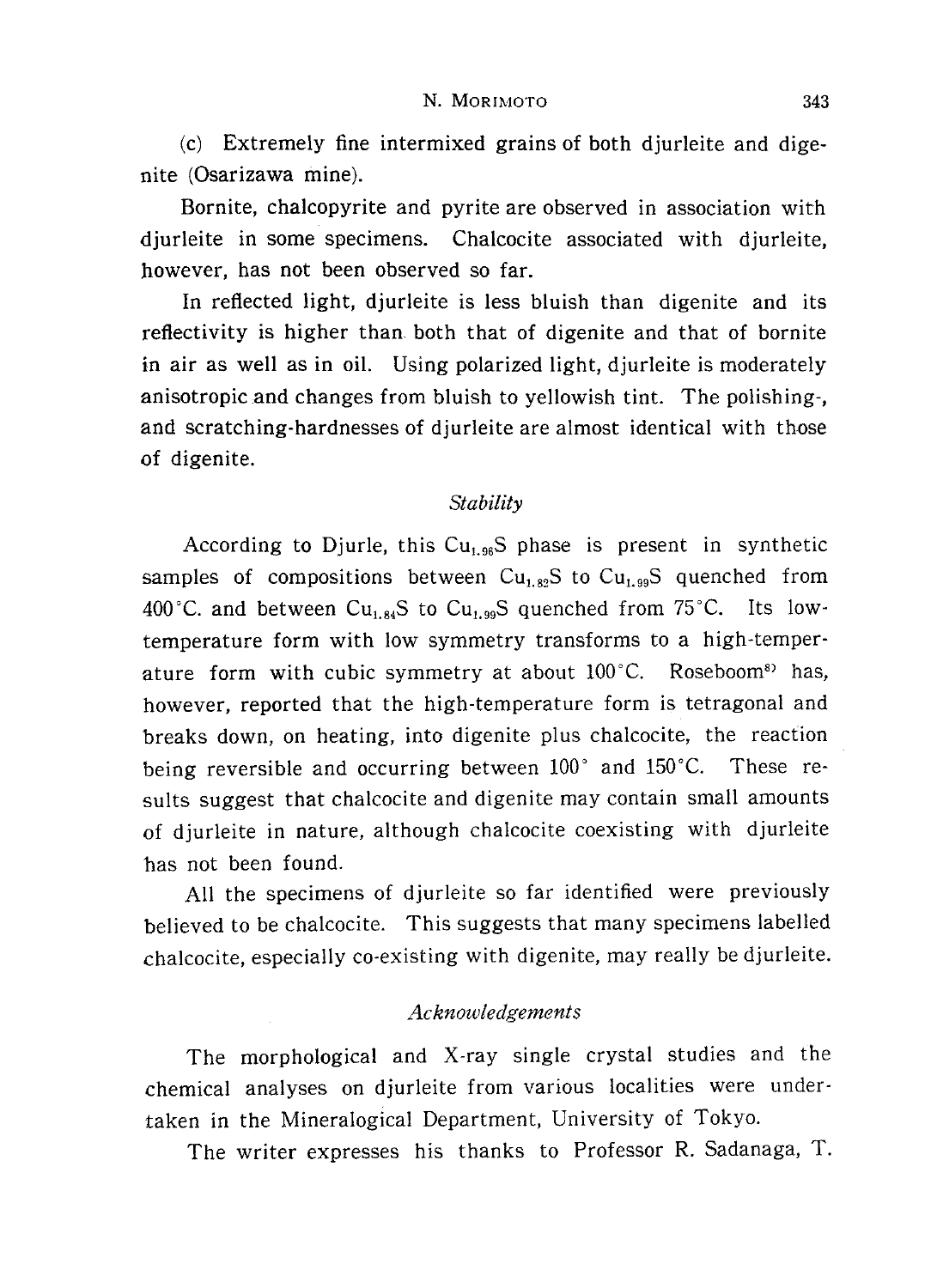(c) Extremely fine intermixed grains of both djurleite and dige nite (Osarizawa mine).

Bornite, chalcopyrite and pyrite are observed in association with djurleite in some specimens. Chalcocite associated with djurleite, however, has not been observed so far.

In reflected light, djurleite is less bluish than digenite and its reflectivity is higher than. both that of digenite and that of bornite in air as well as in oil. Using polarized light, djurleite is moderately anisotropic and changes from bluish to yellowish tint. The polishing-, and scratching-hardnesses of djurleite are almost identical with those of digenite.

## Stability

According to Djurle, this  $Cu<sub>1.96</sub>S$  phase is present in synthetic samples of compositions between  $Cu_{1.82}S$  to  $Cu_{1.99}S$  quenched from 400°C. and between Cu<sub>1.84</sub>S to Cu<sub>1.99</sub>S quenched from 75°C. Its lowtemperature form with low symmetry transforms to a high-temperature form with cubic symmetry at about 100°C. Roseboom<sup>8</sup> has, however, reported that the high-temperature form is tetragonal and breaks down, on heating, into digenite plus chalcocite, the reaction being reversible and occurring between  $100°$  and  $150°C$ . These results suggest that chalcocite and digenite may contain small amounts of djurleite in nature, although chalcocite coexisting with djurleite has not been found.

All the specimens of djurleite so far identified were previously believed to be chalcocite. This suggests that many specimens labelled chalcocite, especially co-existing with digenite, may really be djurleite.

## Acknowledgements

The morphological and X-ray single crystal studies and the chemical analyses on djurleite from various localities were under taken in the Mineralogical Department, University of Tokyo.

The writer expresses his thanks to Professor R. Sadanaga, T.